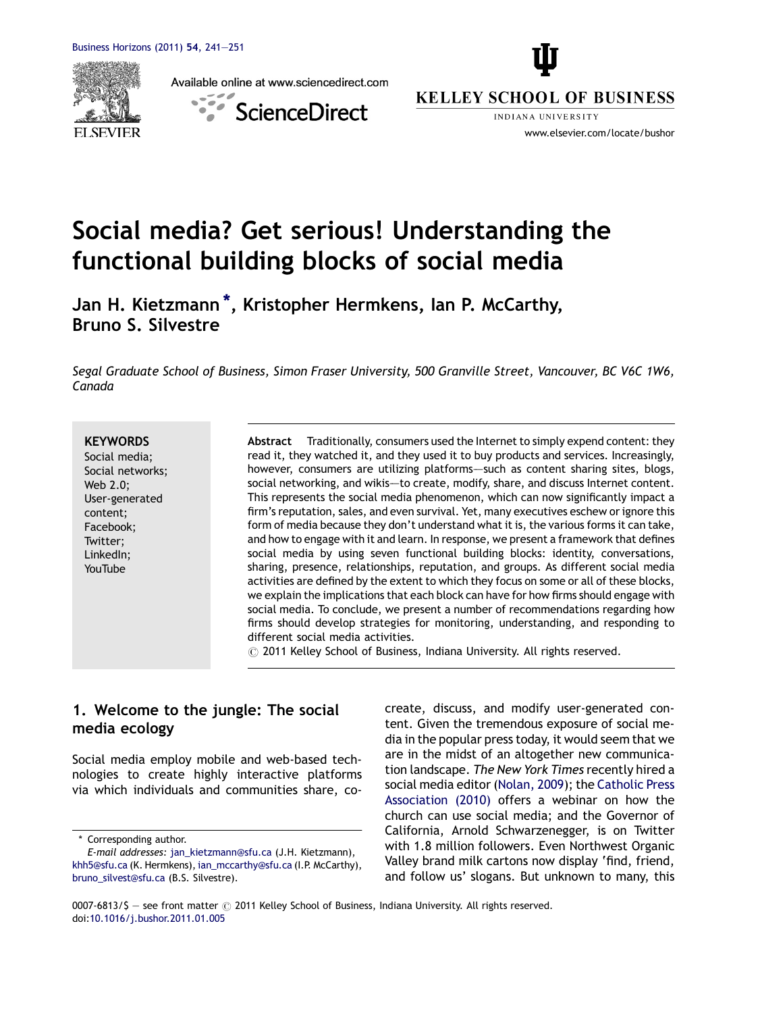



ScienceDirect



**KELLEY SCHOOL OF BUSINESS** INDIANA UNIVERSITY

www.elsevier.com/locate/bushor

# Social media? Get serious! Understanding the functional building blocks of social media

Jan H. Kietzmann \*, Kristopher Hermkens, Ian P. McCarthy, Bruno S. Silvestre

Segal Graduate School of Business, Simon Fraser University, 500 Granville Street, Vancouver, BC V6C 1W6, Canada

#### **KEYWORDS**

Social media; Social networks; Web 2.0; User-generated content; Facebook; Twitter; LinkedIn; YouTube

Abstract Traditionally, consumers used the Internet to simply expend content: they read it, they watched it, and they used it to buy products and services. Increasingly, however, consumers are utilizing platforms—such as content sharing sites, blogs, social networking, and wikis—to create, modify, share, and discuss Internet content. This represents the social media phenomenon, which can now significantly impact a firm's reputation, sales, and even survival. Yet, many executives eschew or ignore this form of media because they don't understand what it is, the various forms it can take, and how to engage with it and learn. In response, we present a framework that defines social media by using seven functional building blocks: identity, conversations, sharing, presence, relationships, reputation, and groups. As different social media activities are defined by the extent to which they focus on some or all of these blocks, we explain the implications that each block can have for how firms should engage with social media. To conclude, we present a number of recommendations regarding how firms should develop strategies for monitoring, understanding, and responding to different social media activities.

 $\circled{c}$  2011 Kelley School of Business, Indiana University. All rights reserved.

# 1. Welcome to the jungle: The social media ecology

Social media employ mobile and web-based technologies to create highly interactive platforms via which individuals and communities share, co-

\* Corresponding author.

create, discuss, and modify user-generated content. Given the tremendous exposure of social media in the popular press today, it would seem that we are in the midst of an altogether new communication landscape. The New York Times recently hired a social media editor ([Nolan, 2009](#page-10-0)); the [Catholic Press](#page-9-0) [Association \(2010\)](#page-9-0) offers a webinar on how the church can use social media; and the Governor of California, Arnold Schwarzenegger, is on Twitter with 1.8 million followers. Even Northwest Organic Valley brand milk cartons now display 'find, friend, and follow us' slogans. But unknown to many, this

E-mail addresses: [jan\\_kietzmann@sfu.ca](mailto:jan_kietzmann@sfu.ca) (J.H. Kietzmann), [khh5@sfu.ca](mailto:khh5@sfu.ca) (K. Hermkens), [ian\\_mccarthy@sfu.ca](mailto:ian_mccarthy@sfu.ca) (I.P. McCarthy), [bruno\\_silvest@sfu.ca](mailto:bruno_silvest@sfu.ca) (B.S. Silvestre).

<sup>0007-6813/\$ -</sup> see front matter  $\odot$  2011 Kelley School of Business, Indiana University. All rights reserved. doi[:10.1016/j.bushor.2011.01.005](http://dx.doi.org/10.1016/j.bushor.2011.01.005)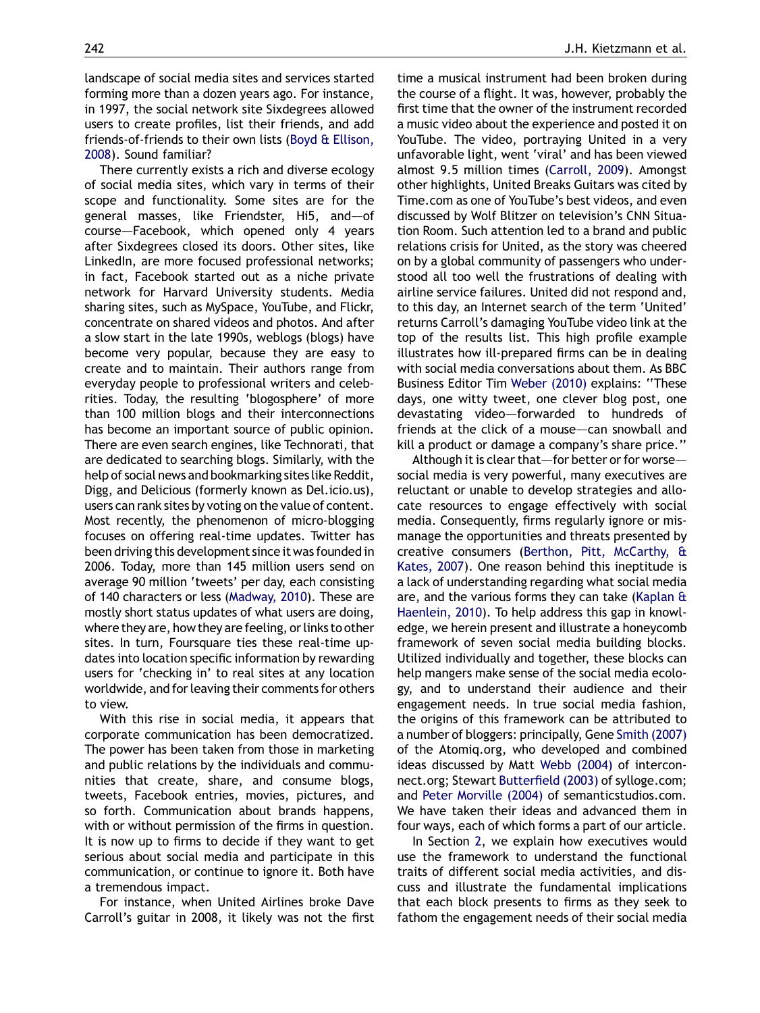landscape of social media sites and services started forming more than a dozen years ago. For instance, in 1997, the social network site Sixdegrees allowed users to create profiles, list their friends, and add friends-of-friends to their own lists [\(Boyd & Ellison,](#page-9-0) [2008](#page-9-0)). Sound familiar?

There currently exists a rich and diverse ecology of social media sites, which vary in terms of their scope and functionality. Some sites are for the general masses, like Friendster, Hi5, and-of course–—Facebook, which opened only 4 years after Sixdegrees closed its doors. Other sites, like LinkedIn, are more focused professional networks; in fact, Facebook started out as a niche private network for Harvard University students. Media sharing sites, such as MySpace, YouTube, and Flickr, concentrate on shared videos and photos. And after a slow start in the late 1990s, weblogs (blogs) have become very popular, because they are easy to create and to maintain. Their authors range from everyday people to professional writers and celebrities. Today, the resulting 'blogosphere' of more than 100 million blogs and their interconnections has become an important source of public opinion. There are even search engines, like Technorati, that are dedicated to searching blogs. Similarly, with the help of social news and bookmarking sites like Reddit, Digg, and Delicious (formerly known as Del.icio.us), users can rank sites by voting on the value of content. Most recently, the phenomenon of micro-blogging focuses on offering real-time updates. Twitter has been driving this development since it was founded in 2006. Today, more than 145 million users send on average 90 million 'tweets' per day, each consisting of 140 characters or less ([Madway, 2010\)](#page-10-0). These are mostly short status updates of what users are doing, where they are, how they are feeling, or links to other sites. In turn, Foursquare ties these real-time updates into location specific information by rewarding users for 'checking in' to real sites at any location worldwide, and for leaving their comments for others to view.

With this rise in social media, it appears that corporate communication has been democratized. The power has been taken from those in marketing and public relations by the individuals and communities that create, share, and consume blogs, tweets, Facebook entries, movies, pictures, and so forth. Communication about brands happens, with or without permission of the firms in question. It is now up to firms to decide if they want to get serious about social media and participate in this communication, or continue to ignore it. Both have a tremendous impact.

For instance, when United Airlines broke Dave Carroll's guitar in 2008, it likely was not the first time a musical instrument had been broken during the course of a flight. It was, however, probably the first time that the owner of the instrument recorded a music video about the experience and posted it on YouTube. The video, portraying United in a very unfavorable light, went 'viral' and has been viewed almost 9.5 million times ([Carroll, 2009](#page-9-0)). Amongst other highlights, United Breaks Guitars was cited by Time.com as one of YouTube's best videos, and even discussed by Wolf Blitzer on television's CNN Situation Room. Such attention led to a brand and public relations crisis for United, as the story was cheered on by a global community of passengers who understood all too well the frustrations of dealing with airline service failures. United did not respond and, to this day, an Internet search of the term 'United' returns Carroll's damaging YouTube video link at the top of the results list. This high profile example illustrates how ill-prepared firms can be in dealing with social media conversations about them. As BBC Business Editor Tim [Weber \(2010\)](#page-10-0) explains: ''These days, one witty tweet, one clever blog post, one devastating video–—forwarded to hundreds of friends at the click of a mouse-can snowball and kill a product or damage a company's share price.''

Although it is clear that-for better or for worsesocial media is very powerful, many executives are reluctant or unable to develop strategies and allocate resources to engage effectively with social media. Consequently, firms regularly ignore or mismanage the opportunities and threats presented by creative consumers ([Berthon, Pitt, McCarthy, &](#page-9-0) [Kates, 2007\)](#page-9-0). One reason behind this ineptitude is a lack of understanding regarding what social media are, and the various forms they can take ([Kaplan &](#page-9-0) [Haenlein, 2010\)](#page-9-0). To help address this gap in knowledge, we herein present and illustrate a honeycomb framework of seven social media building blocks. Utilized individually and together, these blocks can help mangers make sense of the social media ecology, and to understand their audience and their engagement needs. In true social media fashion, the origins of this framework can be attributed to a number of bloggers: principally, Gene [Smith \(2007\)](#page-10-0) of the Atomiq.org, who developed and combined ideas discussed by Matt [Webb \(2004\)](#page-10-0) of interconnect.org; Stewart [Butterfield \(2003\)](#page-9-0) of sylloge.com; and [Peter Morville \(2004\)](#page-10-0) of semanticstudios.com. We have taken their ideas and advanced them in four ways, each of which forms a part of our article.

In Section [2,](#page-2-0) we explain how executives would use the framework to understand the functional traits of different social media activities, and discuss and illustrate the fundamental implications that each block presents to firms as they seek to fathom the engagement needs of their social media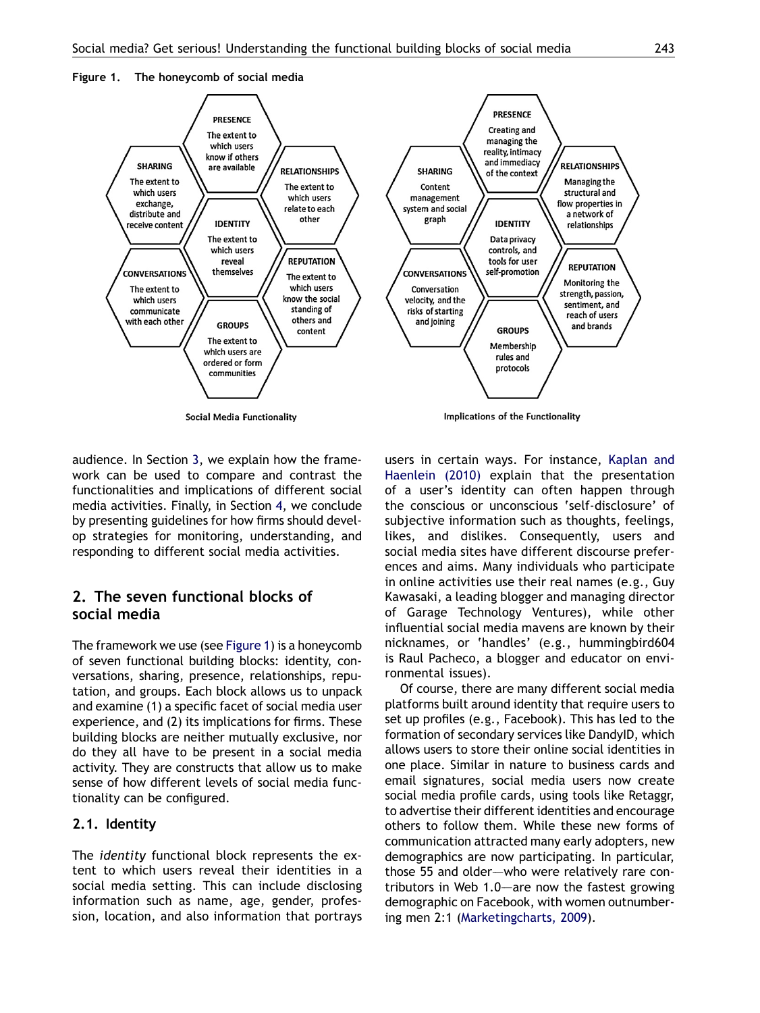<span id="page-2-0"></span>



audience. In Section [3](#page-7-0), we explain how the framework can be used to compare and contrast the functionalities and implications of different social media activities. Finally, in Section [4](#page-9-0), we conclude by presenting guidelines for how firms should develop strategies for monitoring, understanding, and responding to different social media activities.

# 2. The seven functional blocks of social media

The framework we use (see Figure 1) is a honeycomb of seven functional building blocks: identity, conversations, sharing, presence, relationships, reputation, and groups. Each block allows us to unpack and examine (1) a specific facet of social media user experience, and (2) its implications for firms. These building blocks are neither mutually exclusive, nor do they all have to be present in a social media activity. They are constructs that allow us to make sense of how different levels of social media functionality can be configured.

### 2.1. Identity

The identity functional block represents the extent to which users reveal their identities in a social media setting. This can include disclosing information such as name, age, gender, profession, location, and also information that portrays users in certain ways. For instance, [Kaplan and](#page-9-0) [Haenlein \(2010\)](#page-9-0) explain that the presentation of a user's identity can often happen through the conscious or unconscious 'self-disclosure' of subjective information such as thoughts, feelings, likes, and dislikes. Consequently, users and social media sites have different discourse preferences and aims. Many individuals who participate in online activities use their real names (e.g., Guy Kawasaki, a leading blogger and managing director of Garage Technology Ventures), while other influential social media mavens are known by their nicknames, or 'handles' (e.g., hummingbird604 is Raul Pacheco, a blogger and educator on environmental issues).

Of course, there are many different social media platforms built around identity that require users to set up profiles (e.g., Facebook). This has led to the formation of secondary services like DandyID, which allows users to store their online social identities in one place. Similar in nature to business cards and email signatures, social media users now create social media profile cards, using tools like Retaggr, to advertise their different identities and encourage others to follow them. While these new forms of communication attracted many early adopters, new demographics are now participating. In particular, those 55 and older–—who were relatively rare contributors in Web 1.0—are now the fastest growing demographic on Facebook, with women outnumbering men 2:1 ([Marketingcharts, 2009](#page-10-0)).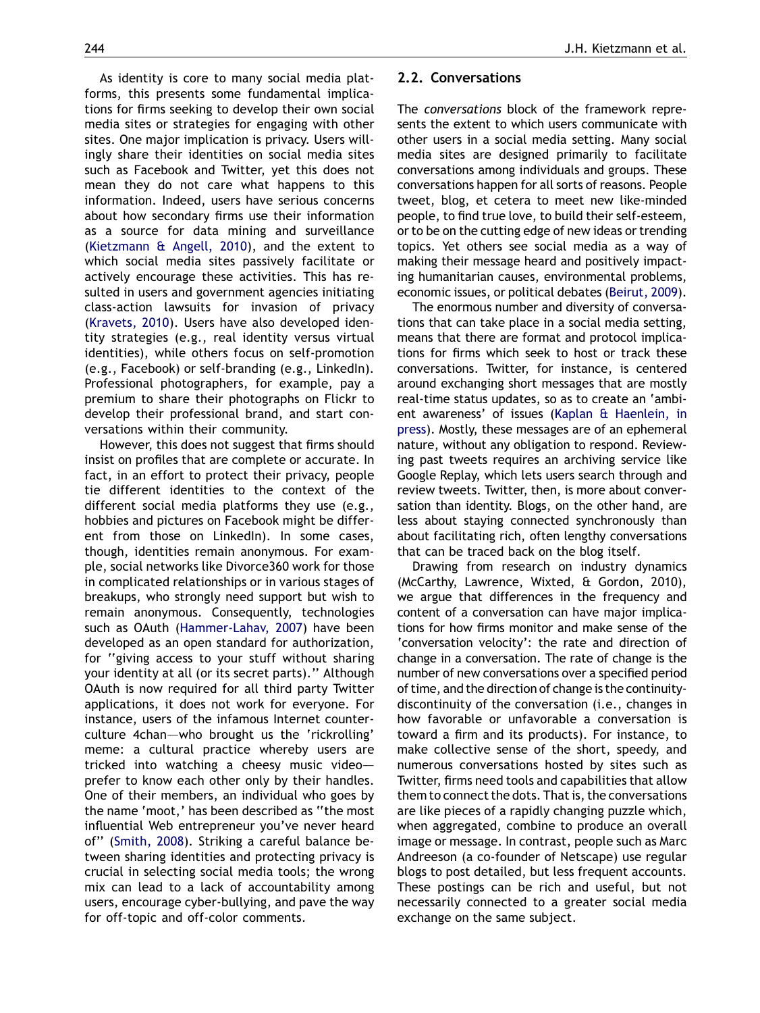As identity is core to many social media platforms, this presents some fundamental implications for firms seeking to develop their own social media sites or strategies for engaging with other sites. One major implication is privacy. Users willingly share their identities on social media sites such as Facebook and Twitter, yet this does not mean they do not care what happens to this information. Indeed, users have serious concerns about how secondary firms use their information as a source for data mining and surveillance ([Kietzmann & Angell, 2010\)](#page-9-0), and the extent to which social media sites passively facilitate or actively encourage these activities. This has resulted in users and government agencies initiating class-action lawsuits for invasion of privacy ([Kravets, 2010\)](#page-9-0). Users have also developed identity strategies (e.g., real identity versus virtual identities), while others focus on self-promotion (e.g., Facebook) or self-branding (e.g., LinkedIn). Professional photographers, for example, pay a premium to share their photographs on Flickr to develop their professional brand, and start conversations within their community.

However, this does not suggest that firms should insist on profiles that are complete or accurate. In fact, in an effort to protect their privacy, people tie different identities to the context of the different social media platforms they use (e.g., hobbies and pictures on Facebook might be different from those on LinkedIn). In some cases, though, identities remain anonymous. For example, social networks like Divorce360 work for those in complicated relationships or in various stages of breakups, who strongly need support but wish to remain anonymous. Consequently, technologies such as OAuth ([Hammer-Lahav, 2007](#page-9-0)) have been developed as an open standard for authorization, for ''giving access to your stuff without sharing your identity at all (or its secret parts).'' Although OAuth is now required for all third party Twitter applications, it does not work for everyone. For instance, users of the infamous Internet counterculture 4chan–—who brought us the 'rickrolling' meme: a cultural practice whereby users are tricked into watching a cheesy music video– prefer to know each other only by their handles. One of their members, an individual who goes by the name 'moot,' has been described as ''the most influential Web entrepreneur you've never heard of'' ([Smith, 2008](#page-10-0)). Striking a careful balance between sharing identities and protecting privacy is crucial in selecting social media tools; the wrong mix can lead to a lack of accountability among users, encourage cyber-bullying, and pave the way for off-topic and off-color comments.

#### 2.2. Conversations

The conversations block of the framework represents the extent to which users communicate with other users in a social media setting. Many social media sites are designed primarily to facilitate conversations among individuals and groups. These conversations happen for all sorts of reasons. People tweet, blog, et cetera to meet new like-minded people, to find true love, to build their self-esteem, or to be on the cutting edge of new ideas or trending topics. Yet others see social media as a way of making their message heard and positively impacting humanitarian causes, environmental problems, economic issues, or political debates ([Beirut, 2009](#page-9-0)).

The enormous number and diversity of conversations that can take place in a social media setting, means that there are format and protocol implications for firms which seek to host or track these conversations. Twitter, for instance, is centered around exchanging short messages that are mostly real-time status updates, so as to create an 'ambient awareness' of issues ([Kaplan & Haenlein, in](#page-9-0) [press](#page-9-0)). Mostly, these messages are of an ephemeral nature, without any obligation to respond. Reviewing past tweets requires an archiving service like Google Replay, which lets users search through and review tweets. Twitter, then, is more about conversation than identity. Blogs, on the other hand, are less about staying connected synchronously than about facilitating rich, often lengthy conversations that can be traced back on the blog itself.

Drawing from research on industry dynamics (McCarthy, Lawrence, Wixted, & Gordon, 2010), we argue that differences in the frequency and content of a conversation can have major implications for how firms monitor and make sense of the 'conversation velocity': the rate and direction of change in a conversation. The rate of change is the number of new conversations over a specified period of time, and the direction of change is the continuitydiscontinuity of the conversation (i.e., changes in how favorable or unfavorable a conversation is toward a firm and its products). For instance, to make collective sense of the short, speedy, and numerous conversations hosted by sites such as Twitter, firms need tools and capabilities that allow them to connect the dots. That is, the conversations are like pieces of a rapidly changing puzzle which, when aggregated, combine to produce an overall image or message. In contrast, people such as Marc Andreeson (a co-founder of Netscape) use regular blogs to post detailed, but less frequent accounts. These postings can be rich and useful, but not necessarily connected to a greater social media exchange on the same subject.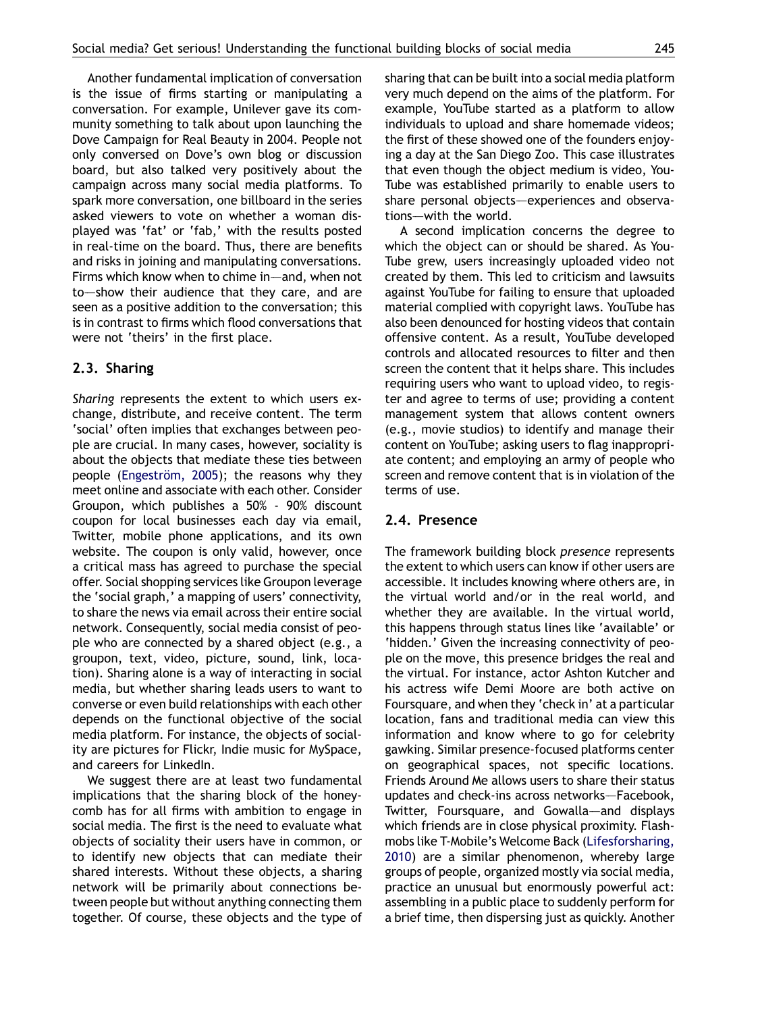Another fundamental implication of conversation is the issue of firms starting or manipulating a conversation. For example, Unilever gave its community something to talk about upon launching the Dove Campaign for Real Beauty in 2004. People not only conversed on Dove's own blog or discussion board, but also talked very positively about the campaign across many social media platforms. To spark more conversation, one billboard in the series asked viewers to vote on whether a woman displayed was 'fat' or 'fab,' with the results posted in real-time on the board. Thus, there are benefits and risks in joining and manipulating conversations. Firms which know when to chime in—and, when not to–—show their audience that they care, and are seen as a positive addition to the conversation; this is in contrast to firms which flood conversations that were not 'theirs' in the first place.

# 2.3. Sharing

Sharing represents the extent to which users exchange, distribute, and receive content. The term 'social' often implies that exchanges between people are crucial. In many cases, however, sociality is about the objects that mediate these ties between people (Engeström, 2005); the reasons why they meet online and associate with each other. Consider Groupon, which publishes a 50% - 90% discount coupon for local businesses each day via email, Twitter, mobile phone applications, and its own website. The coupon is only valid, however, once a critical mass has agreed to purchase the special offer. Social shopping services like Groupon leverage the 'social graph,' a mapping of users' connectivity, to share the news via email across their entire social network. Consequently, social media consist of people who are connected by a shared object (e.g., a groupon, text, video, picture, sound, link, location). Sharing alone is a way of interacting in social media, but whether sharing leads users to want to converse or even build relationships with each other depends on the functional objective of the social media platform. For instance, the objects of sociality are pictures for Flickr, Indie music for MySpace, and careers for LinkedIn.

We suggest there are at least two fundamental implications that the sharing block of the honeycomb has for all firms with ambition to engage in social media. The first is the need to evaluate what objects of sociality their users have in common, or to identify new objects that can mediate their shared interests. Without these objects, a sharing network will be primarily about connections between people but without anything connecting them together. Of course, these objects and the type of sharing that can be built into a social media platform very much depend on the aims of the platform. For example, YouTube started as a platform to allow individuals to upload and share homemade videos; the first of these showed one of the founders enjoying a day at the San Diego Zoo. This case illustrates that even though the object medium is video, You-Tube was established primarily to enable users to share personal objects-experiences and observations–—with the world.

A second implication concerns the degree to which the object can or should be shared. As You-Tube grew, users increasingly uploaded video not created by them. This led to criticism and lawsuits against YouTube for failing to ensure that uploaded material complied with copyright laws. YouTube has also been denounced for hosting videos that contain offensive content. As a result, YouTube developed controls and allocated resources to filter and then screen the content that it helps share. This includes requiring users who want to upload video, to register and agree to terms of use; providing a content management system that allows content owners (e.g., movie studios) to identify and manage their content on YouTube; asking users to flag inappropriate content; and employing an army of people who screen and remove content that is in violation of the terms of use.

# 2.4. Presence

The framework building block presence represents the extent to which users can know if other users are accessible. It includes knowing where others are, in the virtual world and/or in the real world, and whether they are available. In the virtual world, this happens through status lines like 'available' or 'hidden.' Given the increasing connectivity of people on the move, this presence bridges the real and the virtual. For instance, actor Ashton Kutcher and his actress wife Demi Moore are both active on Foursquare, and when they 'check in' at a particular location, fans and traditional media can view this information and know where to go for celebrity gawking. Similar presence-focused platforms center on geographical spaces, not specific locations. Friends Around Me allows users to share their status updates and check-ins across networks–—Facebook, Twitter, Foursquare, and Gowalla-and displays which friends are in close physical proximity. Flashmobs like T-Mobile's Welcome Back [\(Lifesforsharing,](#page-9-0) [2010\)](#page-9-0) are a similar phenomenon, whereby large groups of people, organized mostly via social media, practice an unusual but enormously powerful act: assembling in a public place to suddenly perform for a brief time, then dispersing just as quickly. Another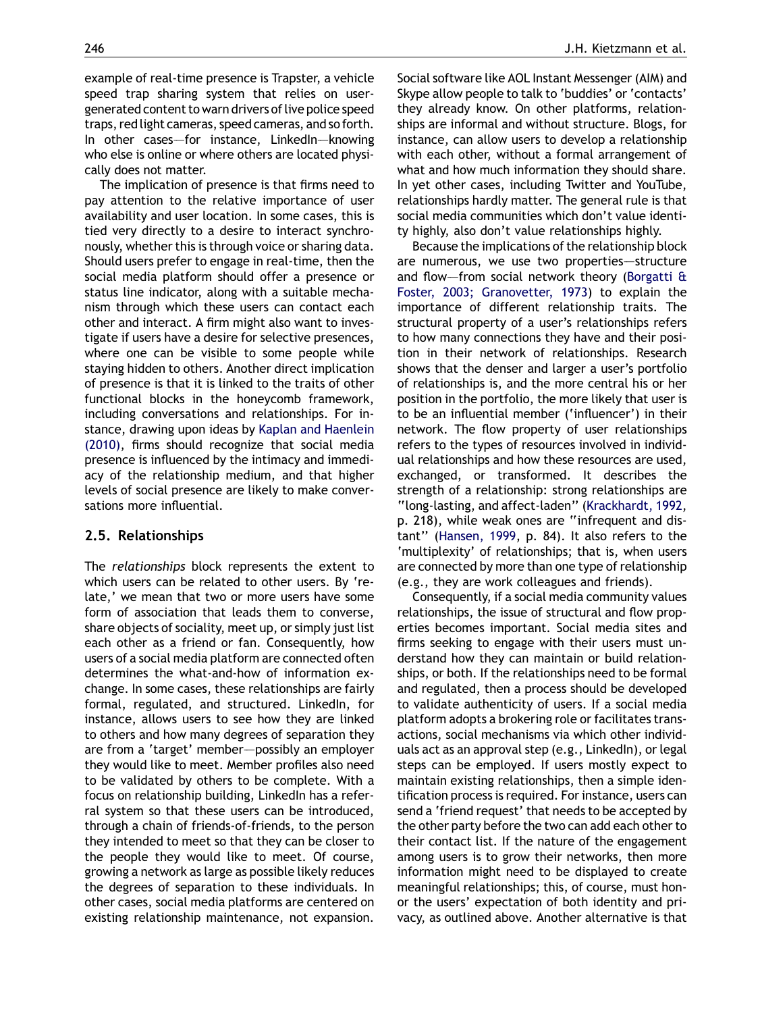example of real-time presence is Trapster, a vehicle speed trap sharing system that relies on usergenerated content to warn drivers of live police speed traps, red light cameras, speed cameras, and so forth. In other cases-for instance, LinkedIn-knowing who else is online or where others are located physically does not matter.

The implication of presence is that firms need to pay attention to the relative importance of user availability and user location. In some cases, this is tied very directly to a desire to interact synchronously, whether this is through voice or sharing data. Should users prefer to engage in real-time, then the social media platform should offer a presence or status line indicator, along with a suitable mechanism through which these users can contact each other and interact. A firm might also want to investigate if users have a desire for selective presences, where one can be visible to some people while staying hidden to others. Another direct implication of presence is that it is linked to the traits of other functional blocks in the honeycomb framework, including conversations and relationships. For instance, drawing upon ideas by [Kaplan and Haenlein](#page-9-0) [\(2010\)](#page-9-0), firms should recognize that social media presence is influenced by the intimacy and immediacy of the relationship medium, and that higher levels of social presence are likely to make conversations more influential.

#### 2.5. Relationships

The relationships block represents the extent to which users can be related to other users. By 'relate,' we mean that two or more users have some form of association that leads them to converse, share objects of sociality, meet up, or simply just list each other as a friend or fan. Consequently, how users of a social media platform are connected often determines the what-and-how of information exchange. In some cases, these relationships are fairly formal, regulated, and structured. LinkedIn, for instance, allows users to see how they are linked to others and how many degrees of separation they are from a 'target' member–—possibly an employer they would like to meet. Member profiles also need to be validated by others to be complete. With a focus on relationship building, LinkedIn has a referral system so that these users can be introduced, through a chain of friends-of-friends, to the person they intended to meet so that they can be closer to the people they would like to meet. Of course, growing a network as large as possible likely reduces the degrees of separation to these individuals. In other cases, social media platforms are centered on existing relationship maintenance, not expansion. Social software like AOL Instant Messenger (AIM) and Skype allow people to talk to 'buddies' or 'contacts' they already know. On other platforms, relationships are informal and without structure. Blogs, for instance, can allow users to develop a relationship with each other, without a formal arrangement of what and how much information they should share. In yet other cases, including Twitter and YouTube, relationships hardly matter. The general rule is that social media communities which don't value identity highly, also don't value relationships highly.

Because the implications of the relationship block are numerous, we use two properties–—structure and flow-from social network theory (Borgatti  $\theta$ [Foster, 2003; Granovetter, 1973\)](#page-9-0) to explain the importance of different relationship traits. The structural property of a user's relationships refers to how many connections they have and their position in their network of relationships. Research shows that the denser and larger a user's portfolio of relationships is, and the more central his or her position in the portfolio, the more likely that user is to be an influential member ('influencer') in their network. The flow property of user relationships refers to the types of resources involved in individual relationships and how these resources are used, exchanged, or transformed. It describes the strength of a relationship: strong relationships are ''long-lasting, and affect-laden'' ([Krackhardt, 1992,](#page-9-0) p. 218), while weak ones are ''infrequent and distant'' [\(Hansen, 1999,](#page-9-0) p. 84). It also refers to the 'multiplexity' of relationships; that is, when users are connected by more than one type of relationship (e.g., they are work colleagues and friends).

Consequently, if a social media community values relationships, the issue of structural and flow properties becomes important. Social media sites and firms seeking to engage with their users must understand how they can maintain or build relationships, or both. If the relationships need to be formal and regulated, then a process should be developed to validate authenticity of users. If a social media platform adopts a brokering role or facilitates transactions, social mechanisms via which other individuals act as an approval step (e.g., LinkedIn), or legal steps can be employed. If users mostly expect to maintain existing relationships, then a simple identification process is required. For instance, users can send a 'friend request' that needs to be accepted by the other party before the two can add each other to their contact list. If the nature of the engagement among users is to grow their networks, then more information might need to be displayed to create meaningful relationships; this, of course, must honor the users' expectation of both identity and privacy, as outlined above. Another alternative is that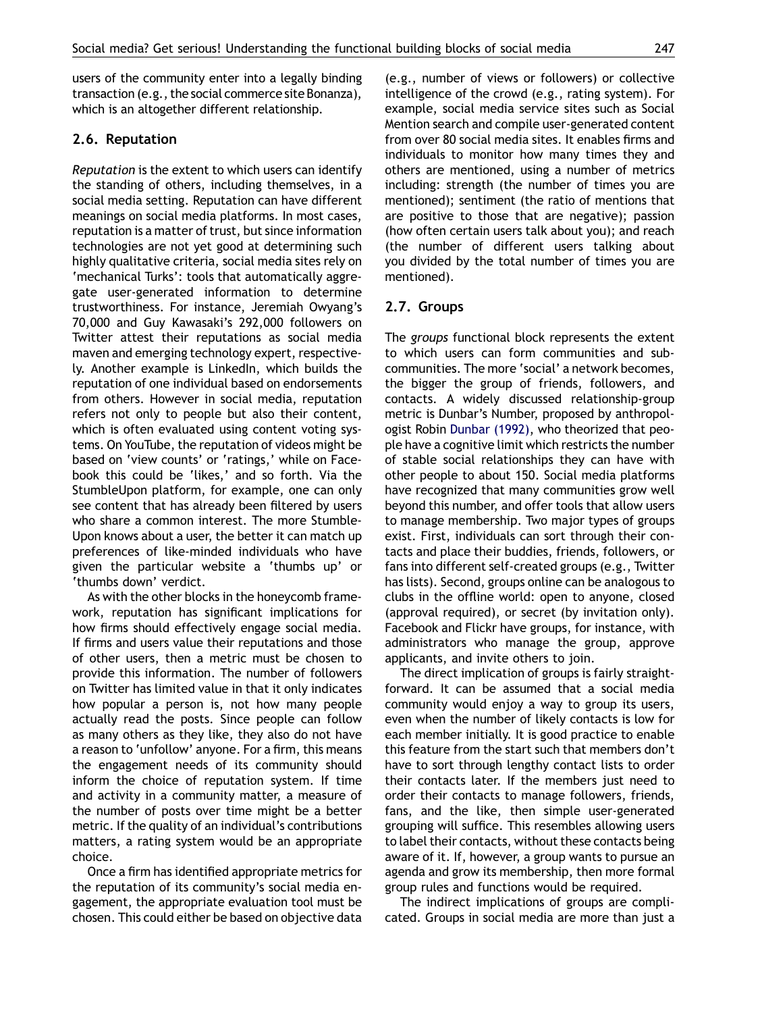users of the community enter into a legally binding transaction (e.g., the social commerce site Bonanza), which is an altogether different relationship.

#### 2.6. Reputation

Reputation is the extent to which users can identify the standing of others, including themselves, in a social media setting. Reputation can have different meanings on social media platforms. In most cases, reputation is a matter of trust, but since information technologies are not yet good at determining such highly qualitative criteria, social media sites rely on 'mechanical Turks': tools that automatically aggregate user-generated information to determine trustworthiness. For instance, Jeremiah Owyang's 70,000 and Guy Kawasaki's 292,000 followers on Twitter attest their reputations as social media maven and emerging technology expert, respectively. Another example is LinkedIn, which builds the reputation of one individual based on endorsements from others. However in social media, reputation refers not only to people but also their content, which is often evaluated using content voting systems. On YouTube, the reputation of videos might be based on 'view counts' or 'ratings,' while on Facebook this could be 'likes,' and so forth. Via the StumbleUpon platform, for example, one can only see content that has already been filtered by users who share a common interest. The more Stumble-Upon knows about a user, the better it can match up preferences of like-minded individuals who have given the particular website a 'thumbs up' or 'thumbs down' verdict.

As with the other blocks in the honeycomb framework, reputation has significant implications for how firms should effectively engage social media. If firms and users value their reputations and those of other users, then a metric must be chosen to provide this information. The number of followers on Twitter has limited value in that it only indicates how popular a person is, not how many people actually read the posts. Since people can follow as many others as they like, they also do not have a reason to 'unfollow' anyone. For a firm, this means the engagement needs of its community should inform the choice of reputation system. If time and activity in a community matter, a measure of the number of posts over time might be a better metric. If the quality of an individual's contributions matters, a rating system would be an appropriate choice.

Once a firm has identified appropriate metrics for the reputation of its community's social media engagement, the appropriate evaluation tool must be chosen. This could either be based on objective data (e.g., number of views or followers) or collective intelligence of the crowd (e.g., rating system). For example, social media service sites such as Social Mention search and compile user-generated content from over 80 social media sites. It enables firms and individuals to monitor how many times they and others are mentioned, using a number of metrics including: strength (the number of times you are mentioned); sentiment (the ratio of mentions that are positive to those that are negative); passion (how often certain users talk about you); and reach (the number of different users talking about you divided by the total number of times you are mentioned).

#### 2.7. Groups

The groups functional block represents the extent to which users can form communities and subcommunities. The more 'social' a network becomes, the bigger the group of friends, followers, and contacts. A widely discussed relationship-group metric is Dunbar's Number, proposed by anthropologist Robin [Dunbar \(1992\)](#page-9-0), who theorized that people have a cognitive limit which restricts the number of stable social relationships they can have with other people to about 150. Social media platforms have recognized that many communities grow well beyond this number, and offer tools that allow users to manage membership. Two major types of groups exist. First, individuals can sort through their contacts and place their buddies, friends, followers, or fans into different self-created groups (e.g., Twitter has lists). Second, groups online can be analogous to clubs in the offline world: open to anyone, closed (approval required), or secret (by invitation only). Facebook and Flickr have groups, for instance, with administrators who manage the group, approve applicants, and invite others to join.

The direct implication of groups is fairly straightforward. It can be assumed that a social media community would enjoy a way to group its users, even when the number of likely contacts is low for each member initially. It is good practice to enable this feature from the start such that members don't have to sort through lengthy contact lists to order their contacts later. If the members just need to order their contacts to manage followers, friends, fans, and the like, then simple user-generated grouping will suffice. This resembles allowing users to label their contacts, without these contacts being aware of it. If, however, a group wants to pursue an agenda and grow its membership, then more formal group rules and functions would be required.

The indirect implications of groups are complicated. Groups in social media are more than just a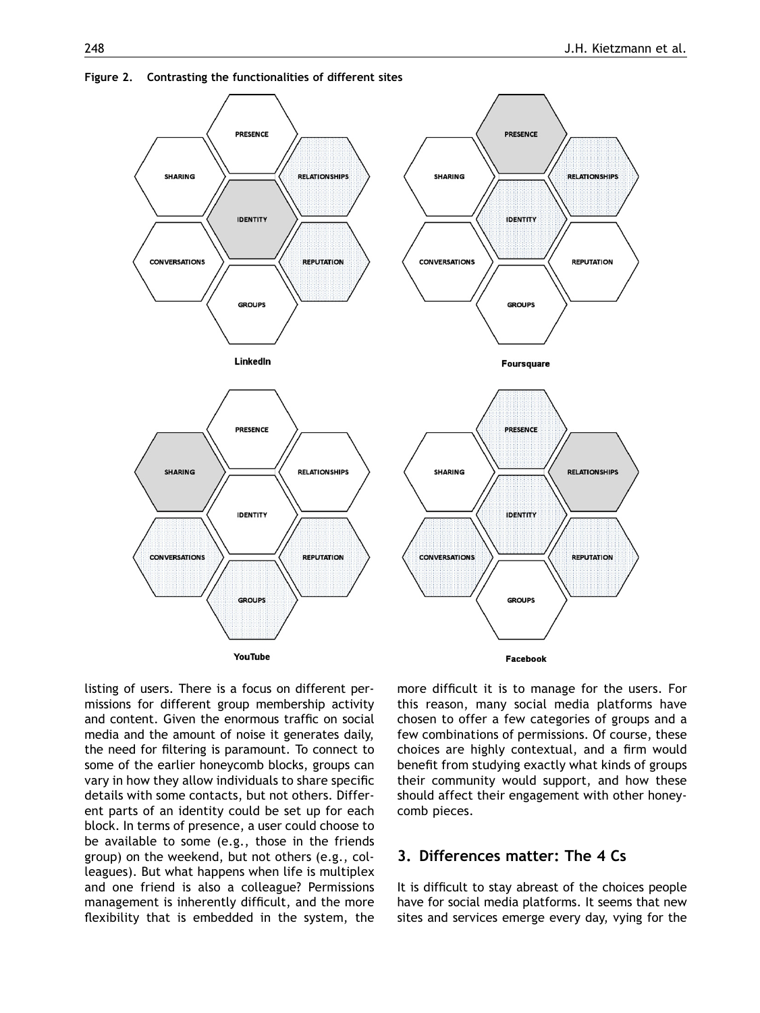

<span id="page-7-0"></span>Figure 2. Contrasting the functionalities of different sites

listing of users. There is a focus on different permissions for different group membership activity and content. Given the enormous traffic on social media and the amount of noise it generates daily, the need for filtering is paramount. To connect to some of the earlier honeycomb blocks, groups can vary in how they allow individuals to share specific details with some contacts, but not others. Different parts of an identity could be set up for each block. In terms of presence, a user could choose to be available to some (e.g., those in the friends group) on the weekend, but not others (e.g., colleagues). But what happens when life is multiplex and one friend is also a colleague? Permissions management is inherently difficult, and the more flexibility that is embedded in the system, the more difficult it is to manage for the users. For this reason, many social media platforms have chosen to offer a few categories of groups and a few combinations of permissions. Of course, these choices are highly contextual, and a firm would benefit from studying exactly what kinds of groups their community would support, and how these should affect their engagement with other honeycomb pieces.

## 3. Differences matter: The 4 Cs

It is difficult to stay abreast of the choices people have for social media platforms. It seems that new sites and services emerge every day, vying for the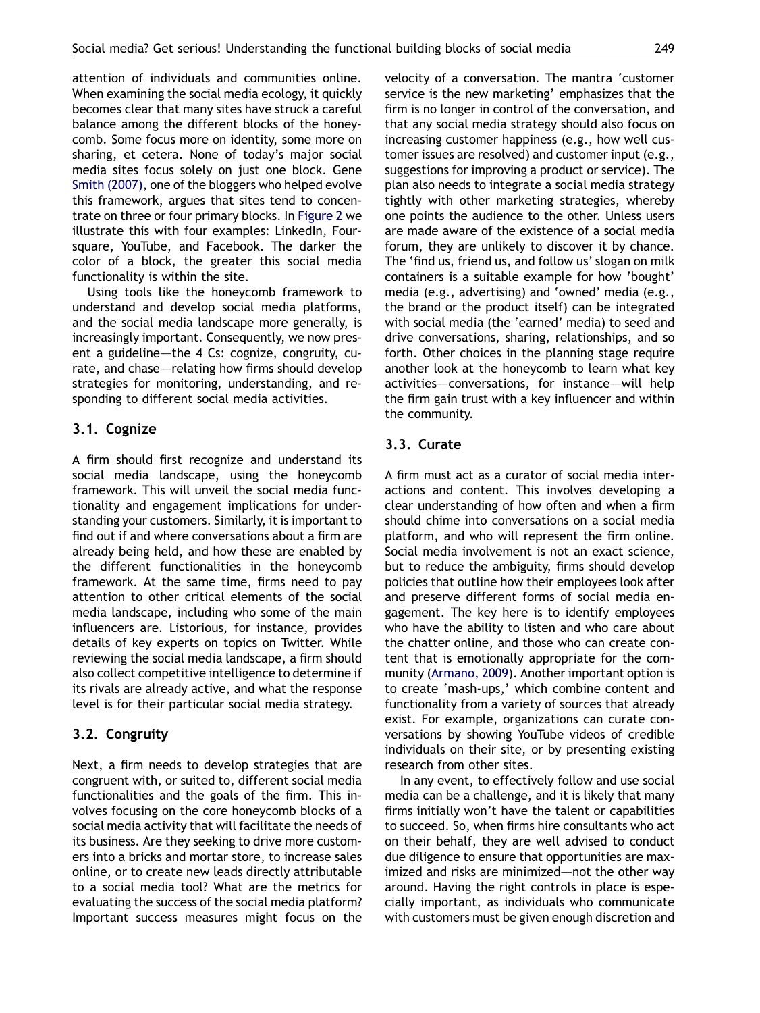attention of individuals and communities online. When examining the social media ecology, it quickly becomes clear that many sites have struck a careful balance among the different blocks of the honeycomb. Some focus more on identity, some more on sharing, et cetera. None of today's major social media sites focus solely on just one block. Gene [Smith \(2007\),](#page-10-0) one of the bloggers who helped evolve this framework, argues that sites tend to concentrate on three or four primary blocks. In [Figure 2](#page-7-0) we illustrate this with four examples: LinkedIn, Foursquare, YouTube, and Facebook. The darker the color of a block, the greater this social media functionality is within the site.

Using tools like the honeycomb framework to understand and develop social media platforms, and the social media landscape more generally, is increasingly important. Consequently, we now present a guideline—the 4 Cs: cognize, congruity,  $cu$ rate, and chase—relating how firms should develop strategies for monitoring, understanding, and responding to different social media activities.

### 3.1. Cognize

A firm should first recognize and understand its social media landscape, using the honeycomb framework. This will unveil the social media functionality and engagement implications for understanding your customers. Similarly, it is important to find out if and where conversations about a firm are already being held, and how these are enabled by the different functionalities in the honeycomb framework. At the same time, firms need to pay attention to other critical elements of the social media landscape, including who some of the main influencers are. Listorious, for instance, provides details of key experts on topics on Twitter. While reviewing the social media landscape, a firm should also collect competitive intelligence to determine if its rivals are already active, and what the response level is for their particular social media strategy.

#### 3.2. Congruity

Next, a firm needs to develop strategies that are congruent with, or suited to, different social media functionalities and the goals of the firm. This involves focusing on the core honeycomb blocks of a social media activity that will facilitate the needs of its business. Are they seeking to drive more customers into a bricks and mortar store, to increase sales online, or to create new leads directly attributable to a social media tool? What are the metrics for evaluating the success of the social media platform? Important success measures might focus on the velocity of a conversation. The mantra 'customer service is the new marketing' emphasizes that the firm is no longer in control of the conversation, and that any social media strategy should also focus on increasing customer happiness (e.g., how well customer issues are resolved) and customer input (e.g., suggestions for improving a product or service). The plan also needs to integrate a social media strategy tightly with other marketing strategies, whereby one points the audience to the other. Unless users are made aware of the existence of a social media forum, they are unlikely to discover it by chance. The 'find us, friend us, and follow us' slogan on milk containers is a suitable example for how 'bought' media (e.g., advertising) and 'owned' media (e.g., the brand or the product itself) can be integrated with social media (the 'earned' media) to seed and drive conversations, sharing, relationships, and so forth. Other choices in the planning stage require another look at the honeycomb to learn what key activities–—conversations, for instance–—will help the firm gain trust with a key influencer and within the community.

## 3.3. Curate

A firm must act as a curator of social media interactions and content. This involves developing a clear understanding of how often and when a firm should chime into conversations on a social media platform, and who will represent the firm online. Social media involvement is not an exact science, but to reduce the ambiguity, firms should develop policies that outline how their employees look after and preserve different forms of social media engagement. The key here is to identify employees who have the ability to listen and who care about the chatter online, and those who can create content that is emotionally appropriate for the community [\(Armano, 2009\)](#page-9-0). Another important option is to create 'mash-ups,' which combine content and functionality from a variety of sources that already exist. For example, organizations can curate conversations by showing YouTube videos of credible individuals on their site, or by presenting existing research from other sites.

In any event, to effectively follow and use social media can be a challenge, and it is likely that many firms initially won't have the talent or capabilities to succeed. So, when firms hire consultants who act on their behalf, they are well advised to conduct due diligence to ensure that opportunities are maximized and risks are minimized–—not the other way around. Having the right controls in place is especially important, as individuals who communicate with customers must be given enough discretion and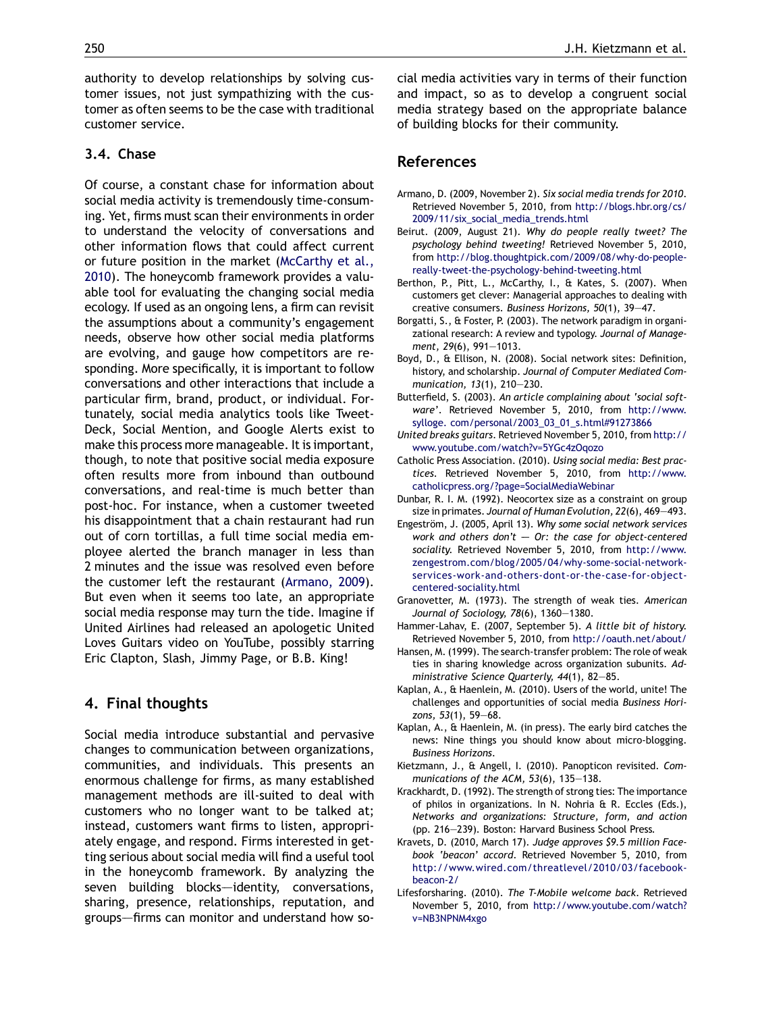<span id="page-9-0"></span>authority to develop relationships by solving customer issues, not just sympathizing with the customer as often seems to be the case with traditional customer service.

#### 3.4. Chase

Of course, a constant chase for information about social media activity is tremendously time-consuming. Yet, firms must scan their environments in order to understand the velocity of conversations and other information flows that could affect current or future position in the market ([McCarthy et al.,](#page-10-0) [2010](#page-10-0)). The honeycomb framework provides a valuable tool for evaluating the changing social media ecology. If used as an ongoing lens, a firm can revisit the assumptions about a community's engagement needs, observe how other social media platforms are evolving, and gauge how competitors are responding. More specifically, it is important to follow conversations and other interactions that include a particular firm, brand, product, or individual. Fortunately, social media analytics tools like Tweet-Deck, Social Mention, and Google Alerts exist to make this process more manageable. It is important, though, to note that positive social media exposure often results more from inbound than outbound conversations, and real-time is much better than post-hoc. For instance, when a customer tweeted his disappointment that a chain restaurant had run out of corn tortillas, a full time social media employee alerted the branch manager in less than 2 minutes and the issue was resolved even before the customer left the restaurant (Armano, 2009). But even when it seems too late, an appropriate social media response may turn the tide. Imagine if United Airlines had released an apologetic United Loves Guitars video on YouTube, possibly starring Eric Clapton, Slash, Jimmy Page, or B.B. King!

## 4. Final thoughts

Social media introduce substantial and pervasive changes to communication between organizations, communities, and individuals. This presents an enormous challenge for firms, as many established management methods are ill-suited to deal with customers who no longer want to be talked at; instead, customers want firms to listen, appropriately engage, and respond. Firms interested in getting serious about social media will find a useful tool in the honeycomb framework. By analyzing the seven building blocks—identity, conversations, sharing, presence, relationships, reputation, and groups–—firms can monitor and understand how social media activities vary in terms of their function and impact, so as to develop a congruent social media strategy based on the appropriate balance of building blocks for their community.

## References

- Armano, D. (2009, November 2). Six social media trends for 2010. Retrieved November 5, 2010, from [http://blogs.hbr.org/cs/](http://blogs.hbr.org/cs/2009/11/six_social_media_trends.html) [2009/11/six\\_social\\_media\\_trends.html](http://blogs.hbr.org/cs/2009/11/six_social_media_trends.html)
- Beirut. (2009, August 21). Why do people really tweet? The psychology behind tweeting! Retrieved November 5, 2010, from [http://blog.thoughtpick.com/2009/08/why-do-people](http://blog.thoughtpick.com/2009/08/why-do-people-really-tweet-the-psychology-behind-tweeting.html)[really-tweet-the-psychology-behind-tweeting.html](http://blog.thoughtpick.com/2009/08/why-do-people-really-tweet-the-psychology-behind-tweeting.html)
- Berthon, P., Pitt, L., McCarthy, I., & Kates, S. (2007). When customers get clever: Managerial approaches to dealing with creative consumers. Business Horizons, 50(1), 39—47.
- Borgatti, S., & Foster, P. (2003). The network paradigm in organizational research: A review and typology. Journal of Management, 29(6), 991—1013.
- Boyd, D., & Ellison, N. (2008). Social network sites: Definition, history, and scholarship. Journal of Computer Mediated Communication, 13(1), 210—230.
- Butterfield, S. (2003). An article complaining about 'social software'. Retrieved November 5, 2010, from [http://www.](http://www.sylloge.com/personal/2003_03_01_s.html%2391273866) [sylloge. com/personal/2003\\_03\\_01\\_s.html#91273866](http://www.sylloge.com/personal/2003_03_01_s.html%2391273866)
- United breaks guitars. Retrieved November 5, 2010, from [http://](http://www.youtube.com/watch%3Fv=5YGc4zOqozo) [www.youtube.com/watch?v=5YGc4zOqozo](http://www.youtube.com/watch%3Fv=5YGc4zOqozo)
- Catholic Press Association. (2010). Using social media: Best practices. Retrieved November 5, 2010, from [http://www.](http://www.catholicpress.org/%3Fpage=SocialMediaWebinar) [catholicpress.org/?page=SocialMediaWebinar](http://www.catholicpress.org/%3Fpage=SocialMediaWebinar)
- Dunbar, R. I. M. (1992). Neocortex size as a constraint on group size in primates. Journal of Human Evolution, 22(6), 469—493.
- Engeström, J. (2005, April 13). Why some social network services work and others don't  $-$  Or: the case for object-centered sociality. Retrieved November 5, 2010, from [http://www.](http://www.zengestrom.com/blog/2005/04/why-some-social-network-services-work-and-others-dont-or-the-case-for-object-centered-sociality.html) [zengestrom.com/blog/2005/04/why-some-social-network](http://www.zengestrom.com/blog/2005/04/why-some-social-network-services-work-and-others-dont-or-the-case-for-object-centered-sociality.html)[services-work-and-others-dont-or-the-case-for-object](http://www.zengestrom.com/blog/2005/04/why-some-social-network-services-work-and-others-dont-or-the-case-for-object-centered-sociality.html)[centered-sociality.html](http://www.zengestrom.com/blog/2005/04/why-some-social-network-services-work-and-others-dont-or-the-case-for-object-centered-sociality.html)
- Granovetter, M. (1973). The strength of weak ties. American Journal of Sociology, 78(6), 1360—1380.
- Hammer-Lahav, E. (2007, September 5). A little bit of history. Retrieved November 5, 2010, from <http://oauth.net/about/>
- Hansen, M. (1999). The search-transfer problem: The role of weak ties in sharing knowledge across organization subunits. Administrative Science Quarterly, 44(1), 82—85.
- Kaplan, A., & Haenlein, M. (2010). Users of the world, unite! The challenges and opportunities of social media Business Horizons, 53(1), 59—68.
- Kaplan, A., & Haenlein, M. (in press). The early bird catches the news: Nine things you should know about micro-blogging. Business Horizons.
- Kietzmann, J., & Angell, I. (2010). Panopticon revisited. Communications of the ACM, 53(6), 135—138.
- Krackhardt, D. (1992). The strength of strong ties: The importance of philos in organizations. In N. Nohria & R. Eccles (Eds.), Networks and organizations: Structure, form, and action (pp. 216—239). Boston: Harvard Business School Press.
- Kravets, D. (2010, March 17). Judge approves \$9.5 million Facebook 'beacon' accord. Retrieved November 5, 2010, from [http://www.wired.com/threatlevel/2010/03/facebook](http://www.wired.com/threatlevel/2010/03/facebook-beacon-2/)[beacon-2/](http://www.wired.com/threatlevel/2010/03/facebook-beacon-2/)
- Lifesforsharing. (2010). The T-Mobile welcome back. Retrieved November 5, 2010, from [http://www.youtube.com/watch?](http://www.youtube.com/watch%3Fv=NB3NPNM4xgo) [v=NB3NPNM4xgo](http://www.youtube.com/watch%3Fv=NB3NPNM4xgo)